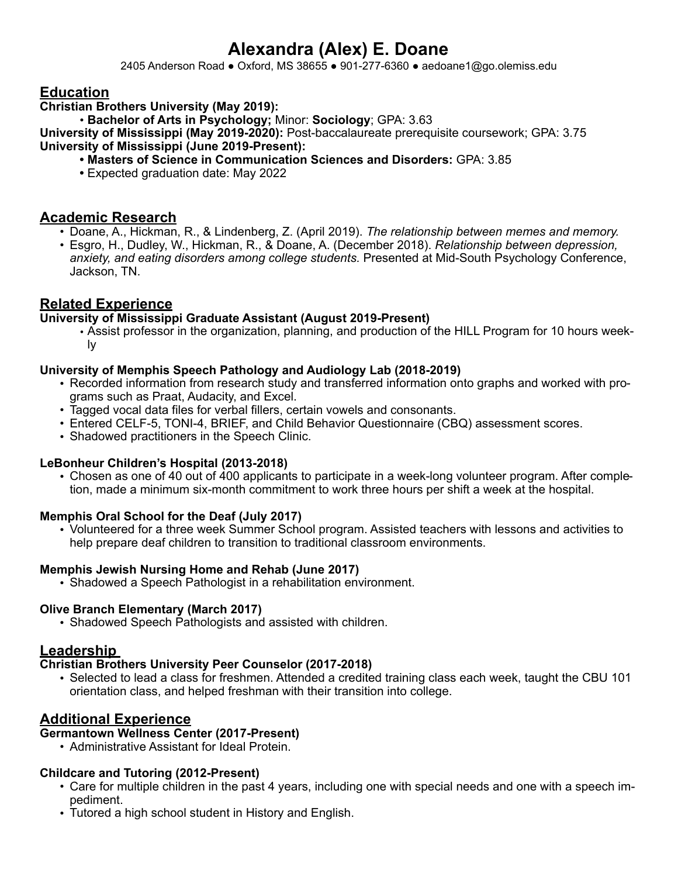# **Alexandra (Alex) E. Doane**

2405 Anderson Road ● Oxford, MS 38655 ● 901-277-6360 ● aedoane1@go.olemiss.edu

# **Education**

**Christian Brothers University (May 2019):**

• **Bachelor of Arts in Psychology;** Minor: **Sociology**; GPA: 3.63

**University of Mississippi (May 2019-2020):** Post-baccalaureate prerequisite coursework; GPA: 3.75 **University of Mississippi (June 2019-Present):** 

- **• Masters of Science in Communication Sciences and Disorders:** GPA: 3.85
	- **•** Expected graduation date: May 2022

# **Academic Research**

- Doane, A., Hickman, R., & Lindenberg, Z. (April 2019). *The relationship between memes and memory.*
- Esgro, H., Dudley, W., Hickman, R., & Doane, A. (December 2018). *Relationship between depression, anxiety, and eating disorders among college students.* Presented at Mid-South Psychology Conference, Jackson, TN.

# **Related Experience**

#### **University of Mississippi Graduate Assistant (August 2019-Present)**

**•** Assist professor in the organization, planning, and production of the HILL Program for 10 hours weekly

## **University of Memphis Speech Pathology and Audiology Lab (2018-2019)**

- Recorded information from research study and transferred information onto graphs and worked with programs such as Praat, Audacity, and Excel.
- Tagged vocal data files for verbal fillers, certain vowels and consonants.
- Entered CELF-5, TONI-4, BRIEF, and Child Behavior Questionnaire (CBQ) assessment scores.
- Shadowed practitioners in the Speech Clinic.

#### **LeBonheur Children's Hospital (2013-2018)**

• Chosen as one of 40 out of 400 applicants to participate in a week-long volunteer program. After completion, made a minimum six-month commitment to work three hours per shift a week at the hospital.

#### **Memphis Oral School for the Deaf (July 2017)**

• Volunteered for a three week Summer School program. Assisted teachers with lessons and activities to help prepare deaf children to transition to traditional classroom environments.

#### **Memphis Jewish Nursing Home and Rehab (June 2017)**

• Shadowed a Speech Pathologist in a rehabilitation environment.

#### **Olive Branch Elementary (March 2017)**

• Shadowed Speech Pathologists and assisted with children.

# **Leadership**

#### **Christian Brothers University Peer Counselor (2017-2018)**

• Selected to lead a class for freshmen. Attended a credited training class each week, taught the CBU 101 orientation class, and helped freshman with their transition into college.

# **Additional Experience**

#### **Germantown Wellness Center (2017-Present)**

• Administrative Assistant for Ideal Protein.

# **Childcare and Tutoring (2012-Present)**

- Care for multiple children in the past 4 years, including one with special needs and one with a speech impediment.
- Tutored a high school student in History and English.